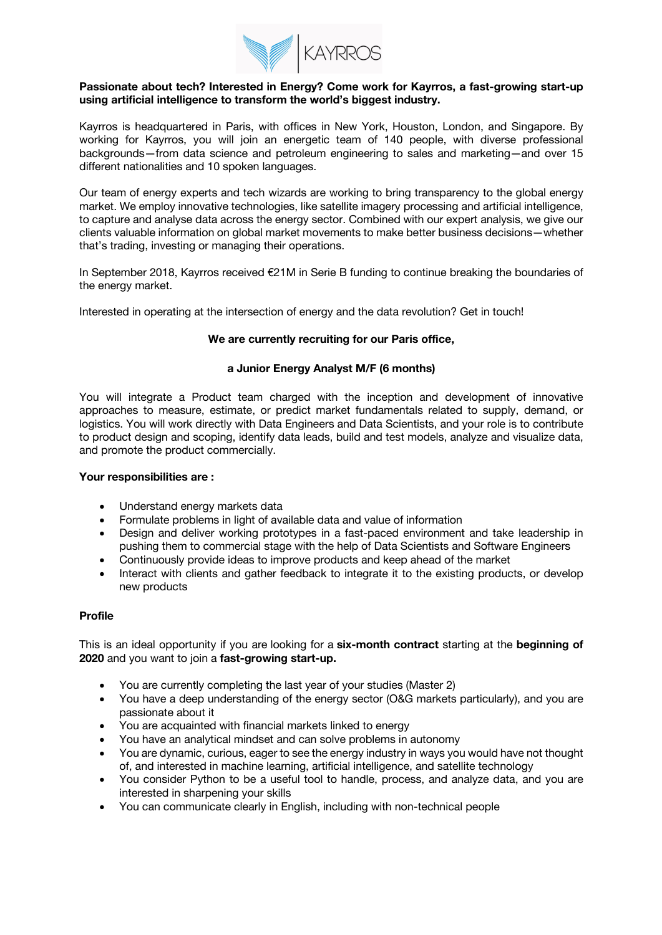

#### **Passionate about tech? Interested in Energy? Come work for Kayrros, a fast-growing start-up using artificial intelligence to transform the world's biggest industry.**

Kayrros is headquartered in Paris, with offices in New York, Houston, London, and Singapore. By working for Kayrros, you will join an energetic team of 140 people, with diverse professional backgrounds—from data science and petroleum engineering to sales and marketing—and over 15 different nationalities and 10 spoken languages.

Our team of energy experts and tech wizards are working to bring transparency to the global energy market. We employ innovative technologies, like satellite imagery processing and artificial intelligence, to capture and analyse data across the energy sector. Combined with our expert analysis, we give our clients valuable information on global market movements to make better business decisions—whether that's trading, investing or managing their operations.

In September 2018, Kayrros received €21M in Serie B funding to continue breaking the boundaries of the energy market.

Interested in operating at the intersection of energy and the data revolution? Get in touch!

# **We are currently recruiting for our Paris office,**

# **a Junior Energy Analyst M/F (6 months)**

You will integrate a Product team charged with the inception and development of innovative approaches to measure, estimate, or predict market fundamentals related to supply, demand, or logistics. You will work directly with Data Engineers and Data Scientists, and your role is to contribute to product design and scoping, identify data leads, build and test models, analyze and visualize data, and promote the product commercially.

# **Your responsibilities are :**

- Understand energy markets data
- Formulate problems in light of available data and value of information
- Design and deliver working prototypes in a fast-paced environment and take leadership in pushing them to commercial stage with the help of Data Scientists and Software Engineers
- Continuously provide ideas to improve products and keep ahead of the market
- Interact with clients and gather feedback to integrate it to the existing products, or develop new products

# **Profile**

This is an ideal opportunity if you are looking for a **six-month contract** starting at the **beginning of 2020** and you want to join a **fast-growing start-up.**

- You are currently completing the last year of your studies (Master 2)
- You have a deep understanding of the energy sector (O&G markets particularly), and you are passionate about it
- You are acquainted with financial markets linked to energy
- You have an analytical mindset and can solve problems in autonomy
- You are dynamic, curious, eager to see the energy industry in ways you would have not thought of, and interested in machine learning, artificial intelligence, and satellite technology
- You consider Python to be a useful tool to handle, process, and analyze data, and you are interested in sharpening your skills
- You can communicate clearly in English, including with non-technical people